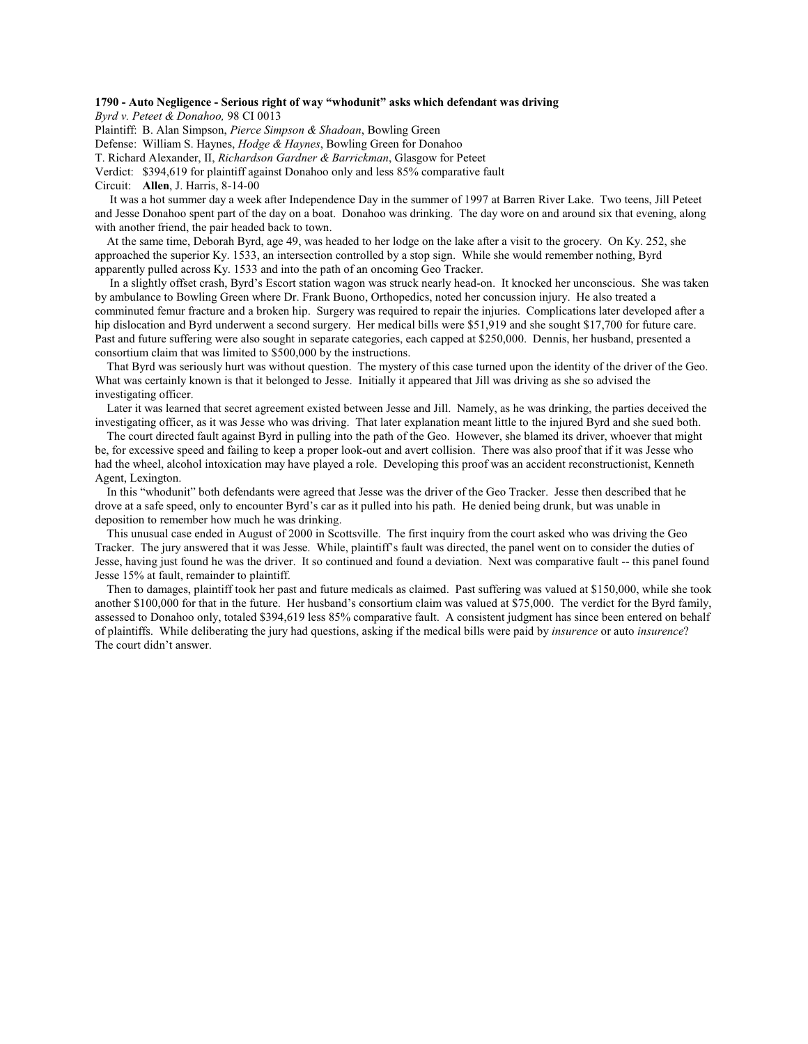## **1790 - Auto Negligence - Serious right of way "whodunit" asks which defendant was driving**

*Byrd v. Peteet & Donahoo,* 98 CI 0013

Plaintiff: B. Alan Simpson, *Pierce Simpson & Shadoan*, Bowling Green

Defense: William S. Haynes, *Hodge & Haynes*, Bowling Green for Donahoo

T. Richard Alexander, II, *Richardson Gardner & Barrickman*, Glasgow for Peteet

Verdict: \$394,619 for plaintiff against Donahoo only and less 85% comparative fault

Circuit: **Allen**, J. Harris, 8-14-00

 It was a hot summer day a week after Independence Day in the summer of 1997 at Barren River Lake. Two teens, Jill Peteet and Jesse Donahoo spent part of the day on a boat. Donahoo was drinking. The day wore on and around six that evening, along with another friend, the pair headed back to town.

 At the same time, Deborah Byrd, age 49, was headed to her lodge on the lake after a visit to the grocery. On Ky. 252, she approached the superior Ky. 1533, an intersection controlled by a stop sign. While she would remember nothing, Byrd apparently pulled across Ky. 1533 and into the path of an oncoming Geo Tracker.

 In a slightly offset crash, Byrd's Escort station wagon was struck nearly head-on. It knocked her unconscious. She was taken by ambulance to Bowling Green where Dr. Frank Buono, Orthopedics, noted her concussion injury. He also treated a comminuted femur fracture and a broken hip. Surgery was required to repair the injuries. Complications later developed after a hip dislocation and Byrd underwent a second surgery. Her medical bills were \$51,919 and she sought \$17,700 for future care. Past and future suffering were also sought in separate categories, each capped at \$250,000. Dennis, her husband, presented a consortium claim that was limited to \$500,000 by the instructions.

 That Byrd was seriously hurt was without question. The mystery of this case turned upon the identity of the driver of the Geo. What was certainly known is that it belonged to Jesse. Initially it appeared that Jill was driving as she so advised the investigating officer.

Later it was learned that secret agreement existed between Jesse and Jill. Namely, as he was drinking, the parties deceived the investigating officer, as it was Jesse who was driving. That later explanation meant little to the injured Byrd and she sued both.

 The court directed fault against Byrd in pulling into the path of the Geo. However, she blamed its driver, whoever that might be, for excessive speed and failing to keep a proper look-out and avert collision. There was also proof that if it was Jesse who had the wheel, alcohol intoxication may have played a role. Developing this proof was an accident reconstructionist, Kenneth Agent, Lexington.

 In this "whodunit" both defendants were agreed that Jesse was the driver of the Geo Tracker. Jesse then described that he drove at a safe speed, only to encounter Byrd's car as it pulled into his path. He denied being drunk, but was unable in deposition to remember how much he was drinking.

 This unusual case ended in August of 2000 in Scottsville. The first inquiry from the court asked who was driving the Geo Tracker. The jury answered that it was Jesse. While, plaintiff's fault was directed, the panel went on to consider the duties of Jesse, having just found he was the driver. It so continued and found a deviation. Next was comparative fault -- this panel found Jesse 15% at fault, remainder to plaintiff.

 Then to damages, plaintiff took her past and future medicals as claimed. Past suffering was valued at \$150,000, while she took another \$100,000 for that in the future. Her husband's consortium claim was valued at \$75,000. The verdict for the Byrd family, assessed to Donahoo only, totaled \$394,619 less 85% comparative fault. A consistent judgment has since been entered on behalf of plaintiffs. While deliberating the jury had questions, asking if the medical bills were paid by *insurence* or auto *insurence*? The court didn't answer.